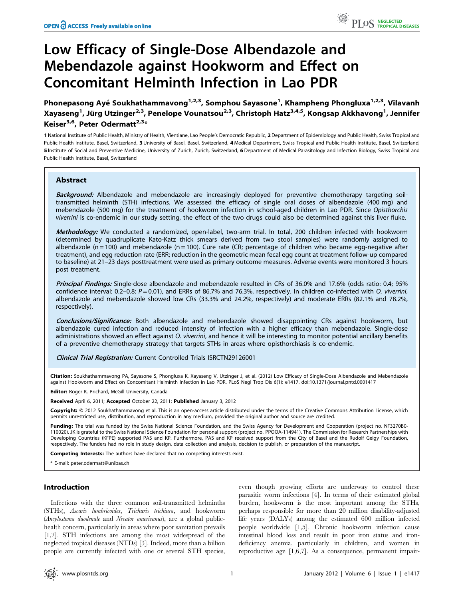# Low Efficacy of Single-Dose Albendazole and Mebendazole against Hookworm and Effect on Concomitant Helminth Infection in Lao PDR

Phonepasong Ayé Soukhathammavong<sup>1,2,3</sup>, Somphou Sayasone<sup>1</sup>, Khampheng Phongluxa<sup>1,2,3</sup>, Vilavanh Xayaseng<sup>1</sup>, Jürg Utzinger<sup>2,3</sup>, Penelope Vounatsou<sup>2,3</sup>, Christoph Hatz<sup>3,4,5</sup>, Kongsap Akkhavong<sup>1</sup>, Jennifer Keiser<sup>3,6</sup>, Peter Odermatt<sup>2,3\*</sup>

1 National Institute of Public Health, Ministry of Health, Vientiane, Lao People's Democratic Republic, 2 Department of Epidemiology and Public Health, Swiss Tropical and Public Health Institute, Basel, Switzerland, 3 University of Basel, Basel, Switzerland, 4 Medical Department, Swiss Tropical and Public Health Institute, Basel, Switzerland, 5 Institute of Social and Preventive Medicine, University of Zurich, Zurich, Switzerland, 6 Department of Medical Parasitology and Infection Biology, Swiss Tropical and Public Health Institute, Basel, Switzerland

# Abstract

Background: Albendazole and mebendazole are increasingly deployed for preventive chemotherapy targeting soiltransmitted helminth (STH) infections. We assessed the efficacy of single oral doses of albendazole (400 mg) and mebendazole (500 mg) for the treatment of hookworm infection in school-aged children in Lao PDR. Since Opisthorchis viverrini is co-endemic in our study setting, the effect of the two drugs could also be determined against this liver fluke.

Methodology: We conducted a randomized, open-label, two-arm trial. In total, 200 children infected with hookworm (determined by quadruplicate Kato-Katz thick smears derived from two stool samples) were randomly assigned to albendazole ( $n = 100$ ) and mebendazole ( $n = 100$ ). Cure rate (CR; percentage of children who became egg-negative after treatment), and egg reduction rate (ERR; reduction in the geometric mean fecal egg count at treatment follow-up compared to baseline) at 21–23 days posttreatment were used as primary outcome measures. Adverse events were monitored 3 hours post treatment.

Principal Findings: Single-dose albendazole and mebendazole resulted in CRs of 36.0% and 17.6% (odds ratio: 0.4; 95% confidence interval:  $0.2-0.8$ ;  $P = 0.01$ ), and ERRs of 86.7% and 76.3%, respectively. In children co-infected with O. viverrini, albendazole and mebendazole showed low CRs (33.3% and 24.2%, respectively) and moderate ERRs (82.1% and 78.2%, respectively).

Conclusions/Significance: Both albendazole and mebendazole showed disappointing CRs against hookworm, but albendazole cured infection and reduced intensity of infection with a higher efficacy than mebendazole. Single-dose administrations showed an effect against O. viverrini, and hence it will be interesting to monitor potential ancillary benefits of a preventive chemotherapy strategy that targets STHs in areas where opisthorchiasis is co-endemic.

Clinical Trial Registration: Current Controlled Trials ISRCTN29126001

Citation: Soukhathammavong PA, Sayasone S, Phongluxa K, Xayaseng V, Utzinger J, et al. (2012) Low Efficacy of Single-Dose Albendazole and Mebendazole against Hookworm and Effect on Concomitant Helminth Infection in Lao PDR. PLoS Negl Trop Dis 6(1): e1417. doi:10.1371/journal.pntd.0001417

Editor: Roger K. Prichard, McGill University, Canada

Received April 6, 2011; Accepted October 22, 2011; Published January 3, 2012

Copyright: © 2012 Soukhathammavong et al. This is an open-access article distributed under the terms of the Creative Commons Attribution License, which permits unrestricted use, distribution, and reproduction in any medium, provided the original author and source are credited.

Funding: The trial was funded by the Swiss National Science Foundation, and the Swiss Agency for Development and Cooperation (project no. NF3270B0-110020). JK is grateful to the Swiss National Science Foundation for personal support (project no. PPOOA-114941). The Commission for Research Partnerships with Developing Countries (KFPE) supported PAS and KP. Furthermore, PAS and KP received support from the City of Basel and the Rudolf Geigy Foundation, respectively. The funders had no role in study design, data collection and analysis, decision to publish, or preparation of the manuscript.

Competing Interests: The authors have declared that no competing interests exist.

E-mail: peter.odermatt@unibas.ch

# Introduction

Infections with the three common soil-transmitted helminths (STHs), Ascaris lumbricoides, Trichuris trichiura, and hookworm (Ancylostoma duodenale and Necator americanus), are a global publichealth concern, particularly in areas where poor sanitation prevails [1,2]. STH infections are among the most widespread of the neglected tropical diseases (NTDs) [3]. Indeed, more than a billion people are currently infected with one or several STH species,

even though growing efforts are underway to control these parasitic worm infections [4]. In terms of their estimated global burden, hookworm is the most important among the STHs, perhaps responsible for more than 20 million disability-adjusted life years (DALYs) among the estimated 600 million infected people worldwide [1,5]. Chronic hookworm infection cause intestinal blood loss and result in poor iron status and irondeficiency anemia, particularly in children, and women in reproductive age [1,6,7]. As a consequence, permanent impair-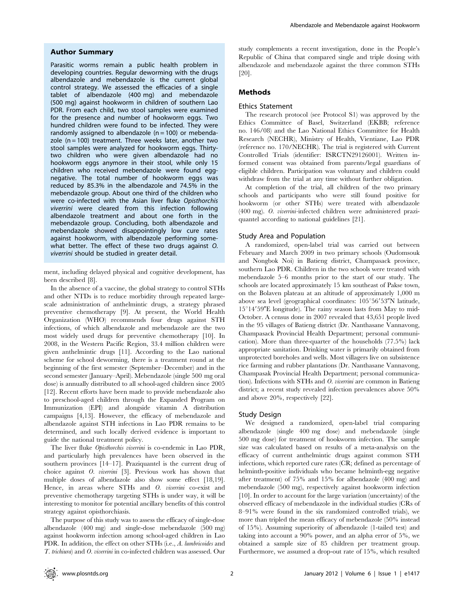## Author Summary

Parasitic worms remain a public health problem in developing countries. Regular deworming with the drugs albendazole and mebendazole is the current global control strategy. We assessed the efficacies of a single tablet of albendazole (400 mg) and mebendazole (500 mg) against hookworm in children of southern Lao PDR. From each child, two stool samples were examined for the presence and number of hookworm eggs. Two hundred children were found to be infected. They were randomly assigned to albendazole ( $n = 100$ ) or mebendazole ( $n = 100$ ) treatment. Three weeks later, another two stool samples were analyzed for hookworm eggs. Thirtytwo children who were given albendazole had no hookworm eggs anymore in their stool, while only 15 children who received mebendazole were found eggnegative. The total number of hookworm eggs was reduced by 85.3% in the albendazole and 74.5% in the mebendazole group. About one third of the children who were co-infected with the Asian liver fluke Opisthorchis viverrini were cleared from this infection following albendazole treatment and about one forth in the mebendazole group. Concluding, both albendazole and mebendazole showed disappointingly low cure rates against hookworm, with albendazole performing somewhat better. The effect of these two drugs against O. viverrini should be studied in greater detail.

ment, including delayed physical and cognitive development, has been described [8].

In the absence of a vaccine, the global strategy to control STHs and other NTDs is to reduce morbidity through repeated largescale administration of anthelmintic drugs, a strategy phrased preventive chemotherapy [9]. At present, the World Health Organization (WHO) recommends four drugs against STH infections, of which albendazole and mebendazole are the two most widely used drugs for preventive chemotherapy [10]. In 2008, in the Western Pacific Region, 33.4 million children were given anthelmintic drugs [11]. According to the Lao national scheme for school deworming, there is a treatment round at the beginning of the first semester (September–December) and in the second semester (January–April). Mebendazole (single 500 mg oral dose) is annually distributed to all school-aged children since 2005 [12]. Recent efforts have been made to provide mebendazole also to preschool-aged children through the Expanded Program on Immunization (EPI) and alongside vitamin A distribution campaigns [4,13]. However, the efficacy of mebendazole and albendazole against STH infections in Lao PDR remains to be determined, and such locally derived evidence is important to guide the national treatment policy.

The liver fluke Opisthorchis viverrini is co-endemic in Lao PDR, and particularly high prevalences have been observed in the southern provinces [14–17]. Praziquantel is the current drug of choice against O. viverrini [3]. Previous work has shown that multiple doses of albendazole also show some effect [18,19]. Hence, in areas where STHs and O. viverrini co-exist and preventive chemotherapy targeting STHs is under way, it will be interesting to monitor for potential ancillary benefits of this control strategy against opisthorchiasis.

The purpose of this study was to assess the efficacy of single-dose albendazole (400 mg) and single-dose mebendazole (500 mg) against hookworm infection among school-aged children in Lao PDR. In addition, the effect on other STHs (i.e., A. lumbricoides and T. trichiura) and O. viverrini in co-infected children was assessed. Our

study complements a recent investigation, done in the People's Republic of China that compared single and triple dosing with albendazole and mebendazole against the three common STHs [20].

# Methods

# Ethics Statement

The research protocol (see Protocol S1) was approved by the Ethics Committee of Basel, Switzerland (EKBB; reference no. 146/08) and the Lao National Ethics Committee for Health Research (NECHR), Ministry of Health, Vientiane, Lao PDR (reference no. 170/NECHR). The trial is registered with Current Controlled Trials (identifier: ISRCTN29126001). Written informed consent was obtained from parents/legal guardians of eligible children. Participation was voluntary and children could withdraw from the trial at any time without further obligation.

At completion of the trial, all children of the two primary schools and participants who were still found positive for hookworm (or other STHs) were treated with albendazole (400 mg). O. viverrini-infected children were administered praziquantel according to national guidelines [21].

#### Study Area and Population

A randomized, open-label trial was carried out between February and March 2009 in two primary schools (Oudomsouk and Nongbok Noi) in Batieng district, Champasack province, southern Lao PDR. Children in the two schools were treated with mebendazole 5–6 months prior to the start of our study. The schools are located approximately 15 km southeast of Pakse town, on the Bolaven plateau at an altitude of approximately 1,000 m above sea level (geographical coordinates:  $105^{\circ}56'53''N$  latitude,  $15^{\circ}14'59''E$  longitude). The rainy season lasts from May to mid-October. A census done in 2007 revealed that 43,651 people lived in the 95 villages of Batieng district (Dr. Nanthasane Vannavong, Champasack Provincial Health Department; personal communication). More than three-quarter of the households (77.5%) lack appropriate sanitation. Drinking water is primarily obtained from unprotected boreholes and wells. Most villagers live on subsistence rice farming and rubber plantations (Dr. Nanthasane Vannavong, Champasak Provincial Health Department; personal communication). Infections with STHs and O. viverrini are common in Batieng district; a recent study revealed infection prevalences above 50% and above 20%, respectively [22].

#### Study Design

We designed a randomized, open-label trial comparing albendazole (single 400 mg dose) and mebendazole (single 500 mg dose) for treatment of hookworm infection. The sample size was calculated based on results of a meta-analysis on the efficacy of current anthelmintic drugs against common STH infections, which reported cure rates (CR; defined as percentage of helminth-positive individuals who became helminth-egg negative after treatment) of 75% and 15% for albendazole (400 mg) and mebendazole (500 mg), respectively against hookworm infection [10]. In order to account for the large variation (uncertainty) of the observed efficacy of mebendazole in the individual studies (CRs of 8–91% were found in the six randomized controlled trials), we more than tripled the mean efficacy of mebendazole (50% instead of 15%). Assuming superiority of albendazole (1-tailed test) and taking into account a 90% power, and an alpha error of 5%, we obtained a sample size of 85 children per treatment group. Furthermore, we assumed a drop-out rate of 15%, which resulted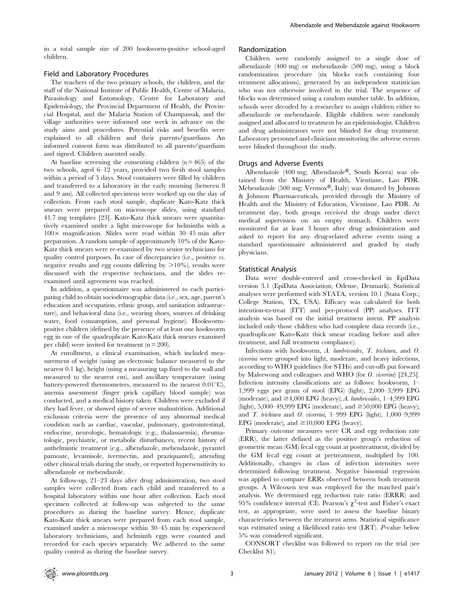# Field and Laboratory Procedures

The teachers of the two primary schools, the children, and the staff of the National Institute of Public Health, Centre of Malaria, Parasitology and Entomology, Centre for Laboratory and Epidemiology, the Provincial Department of Health, the Provincial Hospital, and the Malaria Station of Champassak, and the village authorities were informed one week in advance on the study aims and procedures. Potential risks and benefits were explained to all children and their parents/guardians. An informed consent form was distributed to all parents/guardians and signed. Children assented orally.

At baseline screening the consenting children  $(n = 465)$  of the two schools, aged 6–12 years, provided two fresh stool samples within a period of 3 days. Stool containers were filled by children and transferred to a laboratory in the early morning (between 8 and 9 am). All collected specimens were worked up on the day of collection. From each stool sample, duplicate Kato-Katz thick smears were prepared on microscope slides, using standard 41.7 mg templates [23]. Kato-Katz thick smears were quantitatively examined under a light microscope for helminths with a  $100\times$  magnification. Slides were read within 30–45 min after preparation. A random sample of approximately 10% of the Kato-Katz thick smears were re-examined by two senior technicians for quality control purposes. In case of discrepancies (i.e., positive vs. negative results and egg counts differing by  $>10\%$ , results were discussed with the respective technicians, and the slides reexamined until agreement was reached.

In addition, a questionnaire was administered to each participating child to obtain sociodemographic data (i.e., sex, age, parent's education and occupation, ethnic group, and sanitation infrastructure), and behavioral data (i.e., wearing shoes, sources of drinking water, food consumption, and personal hygiene). Hookwormpositive children (defined by the presence of at least one hookworm egg in one of the quadruplicate Kato-Katz thick smears examined per child) were invited for treatment (n = 200).

At enrollment, a clinical examination, which included measurement of weight (using an electronic balance measured to the nearest 0.1 kg), height (using a measuring tap fixed to the wall and measured to the nearest cm), and axcillary temperature (using battery-powered thermometers, measured to the nearest  $0.01^{\circ}$ C), anemia assessment (finger prick capillary blood sample) was conducted, and a medical history taken. Children were excluded if they had fever, or showed signs of severe malnutrition. Additional exclusion criteria were the presence of any abnormal medical condition such as cardiac, vascular, pulmonary, gastrointestinal, endocrine, neurologic, hematologic (e.g., thalassaemia), rheumatologic, psychiatric, or metabolic disturbances, recent history of anthelmintic treatment (e.g., albendazole, mebendazole, pyrantel pamoate, levamisole, ivermectin, and praziquantel), attending other clinical trials during the study, or reported hypersensitivity to albendazole or mebendazole.

At follow-up, 21–23 days after drug administration, two stool samples were collected from each child and transferred to a hospital laboratory within one hour after collection. Each stool specimen collected at follow-up was subjected to the same procedures as during the baseline survey. Hence, duplicate Kato-Katz thick smears were prepared from each stool sample, examined under a microscope within 30–45 min by experienced laboratory technicians, and helminth eggs were counted and recorded for each species separately. We adhered to the same quality control as during the baseline survey.

# Randomization

Children were randomly assigned to a single dose of albendazole (400 mg) or mebendazole (500 mg), using a block randomization procedure (six blocks each containing four treatment allocations), generated by an independent statistician who was not otherwise involved in the trial. The sequence of blocks was determined using a random number table. In addition, schools were decoded by a researcher to assign children either to albendazole or mebendazole. Eligible children were randomly assigned and allocated to treatment by an epidemiologist. Children and drug administrators were not blinded for drug treatment. Laboratory personnel and clinicians monitoring the adverse events were blinded throughout the study.

# Drugs and Adverse Events

Albendazole (400 mg; Albendazole®, South Korea) was obtained from the Ministry of Health, Vientiane, Lao PDR. Mebendazole (500 mg; Vermox®, Italy) was donated by Johnson & Johnson Pharmaceuticals, provided through the Ministry of Health and the Ministry of Education, Vientiane, Lao PDR. At treatment day, both groups received the drugs under direct medical supervision on an empty stomach. Children were monitored for at least 3 hours after drug administration and asked to report for any drug-related adverse events using a standard questionnaire administered and graded by study physicians.

# Statistical Analysis

Data were double-entered and cross-checked in EpiData version 3.1 (EpiData Association; Odense, Denmark). Statistical analyses were performed with STATA, version 10.1 (Stata Corp.; College Station, TX, USA). Efficacy was calculated for both intention-to-treat (ITT) and per-protocol (PP) analyses. ITT analysis was based on the initial treatment intent. PP analysis included only those children who had complete data records (i.e., quadruplicate Kato-Katz thick smear reading before and after treatment, and full treatment compliance).

Infections with hookworm, A. lumbricoides, T. trichiura, and O. viverrini were grouped into light, moderate, and heavy infections, according to WHO guidelines (for STHs) and cut-offs put forward by Maleewong and colleagues and WHO (for O. viverrini) [24,25]. Infection intensity classifications are as follows: hookworm, 1– 1,999 eggs per gram of stool (EPG) (light), 2,000–3,999 EPG (moderate), and  $\geq$ 4,000 EPG (heavy); A. lumbricoides, 1–4,999 EPG (light),  $5,000-49,999$  EPG (moderate), and  $\geq 50,000$  EPG (heavy); and T. trichiura and O. viverrini, 1–999 EPG (light), 1,000–9,999 EPG (moderate), and  $\geq$ 10,000 EPG (heavy).

Primary outcome measures were CR and egg reduction rate (ERR), the latter defined as the positive group's reduction of geometric mean (GM) fecal egg count at posttreatment, divided by the GM fecal egg count at pretreatment, multiplied by 100. Additionally, changes in class of infection intensities were determined following treatment. Negative binomial regression was applied to compare ERRs observed between both treatment groups. A Wilcoxen test was employed for the matched pair's analysis. We determined egg reduction rate ratio (ERRR) and 95% confidence interval (CI). Pearson's  $\chi^2$ -test and Fisher's exact test, as appropriate, were used to assess the baseline binary characteristics between the treatment arms. Statistical significance was estimated using a likelihood ratio test (LRT). P-value below 5% was considered significant.

CONSORT checklist was followed to report on the trial (see Checklist S1).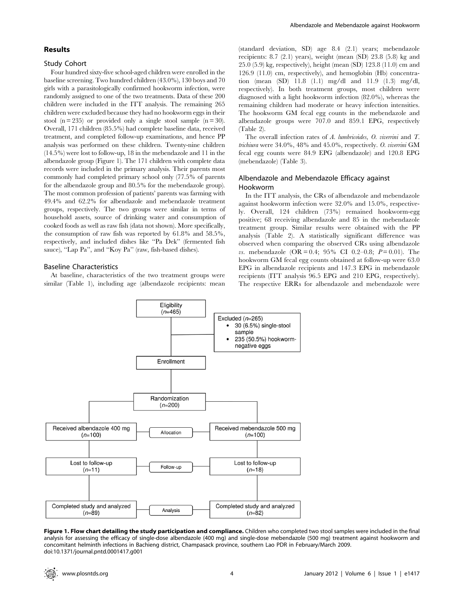## Results

#### Study Cohort

Four hundred sixty-five school-aged children were enrolled in the baseline screening. Two hundred children (43.0%), 130 boys and 70 girls with a parasitologically confirmed hookworm infection, were randomly assigned to one of the two treatments. Data of these 200 children were included in the ITT analysis. The remaining 265 children were excluded because they had no hookworm eggs in their stool ( $n = 235$ ) or provided only a single stool sample ( $n = 30$ ). Overall, 171 children (85.5%) had complete baseline data, received treatment, and completed follow-up examinations, and hence PP analysis was performed on these children. Twenty-nine children (14.5%) were lost to follow-up, 18 in the mebendazole and 11 in the albendazole group (Figure 1). The 171 children with complete data records were included in the primary analysis. Their parents most commonly had completed primary school only (77.5% of parents for the albendazole group and 80.5% for the mebendazole group). The most common profession of patients' parents was farming with 49.4% and 62.2% for albendazole and mebendazole treatment groups, respectively. The two groups were similar in terms of household assets, source of drinking water and consumption of cooked foods as well as raw fish (data not shown). More specifically, the consumption of raw fish was reported by 61.8% and 58.5%, respectively, and included dishes like ''Pa Dek'' (fermented fish sauce), "Lap Pa", and "Koy Pa" (raw, fish-based dishes).

## Baseline Characteristics

At baseline, characteristics of the two treatment groups were similar (Table 1), including age (albendazole recipients: mean (standard deviation, SD) age 8.4 (2.1) years; mebendazole recipients: 8.7 (2.1) years), weight (mean (SD) 23.8 (5.8) kg and 25.0 (5.9) kg, respectively), height (mean (SD) 123.8 (11.0) cm and 126.9 (11.0) cm, respectively), and hemoglobin (Hb) concentration (mean (SD) 11.8 (1.1) mg/dl and 11.9 (1.3) mg/dl, respectively). In both treatment groups, most children were diagnosed with a light hookworm infection (82.0%), whereas the remaining children had moderate or heavy infection intensities. The hookworm GM fecal egg counts in the mebendazole and albendazole groups were 707.0 and 859.1 EPG, respectively (Table 2).

The overall infection rates of A. lumbricoides, O. viverrini and T. trichiura were 34.0%, 48% and 45.0%, respectively. O. viverrini GM fecal egg counts were 84.9 EPG (albendazole) and 120.8 EPG (mebendazole) (Table 3).

# Albendazole and Mebendazole Efficacy against Hookworm

In the ITT analysis, the CRs of albendazole and mebendazole against hookworm infection were 32.0% and 15.0%, respectively. Overall, 124 children (73%) remained hookworm-egg positive; 68 receiving albendazole and 85 in the mebendazole treatment group. Similar results were obtained with the PP analysis (Table 2). A statistically significant difference was observed when comparing the observed CRs using albendazole vs. mebendazole  $(OR = 0.4; 95\% \text{ CI } 0.2-0.8; P = 0.01)$ . The hookworm GM fecal egg counts obtained at follow-up were 63.0 EPG in albendazole recipients and 147.3 EPG in mebendazole recipients (ITT analysis 96.5 EPG and 210 EPG, respectively). The respective ERRs for albendazole and mebendazole were



Figure 1. Flow chart detailing the study participation and compliance. Children who completed two stool samples were included in the final analysis for assessing the efficacy of single-dose albendazole (400 mg) and single-dose mebendazole (500 mg) treatment against hookworm and concomitant helminth infections in Bachieng district, Champasack province, southern Lao PDR in February/March 2009. doi:10.1371/journal.pntd.0001417.g001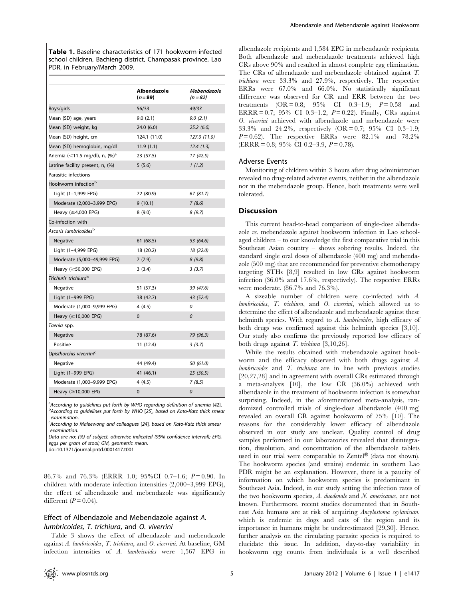Table 1. Baseline characteristics of 171 hookworm-infected school children, Bachieng district, Champasak province, Lao PDR, in February/March 2009.

|                                           | Albendazole<br>$(n = 89)$ | Mebendazole<br>$(n = 82)$ |
|-------------------------------------------|---------------------------|---------------------------|
| Boys/girls                                | 56/33                     | 49/33                     |
| Mean (SD) age, years                      | 9.0(2.1)                  | 9.0(2.1)                  |
| Mean (SD) weight, kg                      | 24.0(6.0)                 | 25.2(6.0)                 |
| Mean (SD) height, cm                      | 124.1 (11.0)              | 127.0 (11.0)              |
| Mean (SD) hemoglobin, mg/dl               | 11.9(1.1)                 | 12.4(1.3)                 |
| Anemia (<11.5 mg/dl), n, (%) <sup>a</sup> | 23 (57.5)                 | 17 (42.5)                 |
| Latrine facility present, n, (%)          | 5(5.6)                    | 1(1.2)                    |
| Parasitic infections                      |                           |                           |
| Hookworm infection <sup>b</sup>           |                           |                           |
| Light (1-1,999 EPG)                       | 72 (80.9)                 | 67 (81.7)                 |
| Moderate (2,000-3,999 EPG)                | 9(10.1)                   | 7(8.6)                    |
| Heavy ( $\geq$ 4,000 EPG)                 | 8(9.0)                    | 8(9.7)                    |
| Co-infection with                         |                           |                           |
| Ascaris lumbricoides <sup>b</sup>         |                           |                           |
| Negative                                  | 61 (68.5)                 | 53 (64.6)                 |
| Light (1-4,999 EPG)                       | 18 (20.2)                 | 18 (22.0)                 |
| Moderate (5,000-49,999 EPG)               | 7(7.9)                    | 8(9.8)                    |
| Heavy (≥50,000 EPG)                       | 3(3.4)                    | 3(3.7)                    |
| Trichuris trichiura <sup>b</sup>          |                           |                           |
| Negative                                  | 51 (57.3)                 | 39 (47.6)                 |
| Light (1-999 EPG)                         | 38 (42.7)                 | 43 (52.4)                 |
| Moderate (1,000-9,999 EPG)                | 4 (4.5)                   | 0                         |
| Heavy $(\geq 10,000$ EPG)                 | $\mathbf{0}$              | 0                         |
| Taenia spp.                               |                           |                           |
| Negative                                  | 78 (87.6)                 | 79 (96.3)                 |
| Positive                                  | 11 (12.4)                 | 3(3.7)                    |
| Opisthorchis viverrini <sup>c</sup>       |                           |                           |
| Negative                                  | 44 (49.4)                 | 50 (61.0)                 |
| Light (1-999 EPG)                         | 41 (46.1)                 | 25(30.5)                  |
| Moderate (1,000-9,999 EPG)                | 4 (4.5)                   | 7(8.5)                    |
| Heavy (≥10,000 EPG                        | $\mathbf 0$               | 0                         |

<sup>a</sup> According to guidelines put forth by WHO regarding definition of anemia [42].<br><sup>b</sup> According to quidelines put forth by WHO [25], based on Kato Kata thick smart <sup>5</sup> According to guidelines put forth by WHO [25], based on Kato-Katz thick smear examination.

<sup>c</sup>According to Maleewong and colleagues [24], based on Kato-Katz thick smear examination.

Data are no; (%) of subject, otherwise indicated (95% confidence interval); EPG, eggs per gram of stool; GM, geometric mean.

doi:10.1371/journal.pntd.0001417.t001

86.7% and 76.3% (ERRR 1.0; 95%CI 0.7-1.6;  $P = 0.90$ . In children with moderate infection intensities (2,000–3,999 EPG), the effect of albendazole and mebendazole was significantly different  $(P = 0.04)$ .

# Effect of Albendazole and Mebendazole against A. lumbricoides, T. trichiura, and O. viverrini

Table 3 shows the effect of albendazole and mebendazole against A. lumbricoides, T. trichiura, and O. viverrini. At baseline, GM infection intensities of A. lumbricoides were 1,567 EPG in albendazole recipients and 1,584 EPG in mebendazole recipients. Both albendazole and mebendazole treatments achieved high CRs above 90% and resulted in almost complete egg elimination. The CRs of albendazole and mebendazole obtained against T. trichiura were 33.3% and 27.9%, respectively. The respective ERRs were 67.0% and 66.0%. No statistically significant difference was observed for CR and ERR between the two treatments  $(OR = 0.8; 95\% \text{ CI} 0.3-1.9; P = 0.58 \text{ and}$ ERRR = 0.7; 95% CI 0.3-1.2,  $P = 0.22$ ). Finally, CRs against O. viverrini achieved with albendazole and mebendazole were 33.3% and 24.2%, respectively (OR = 0.7; 95% CI 0.3–1.9;  $P=0.62$ ). The respective ERRs were 82.1% and 78.2%  $(ERRR = 0.8; 95\% \text{ CI } 0.2-3.9, P = 0.78).$ 

#### Adverse Events

Monitoring of children within 3 hours after drug administration revealed no drug-related adverse events, neither in the albendazole nor in the mebendazole group. Hence, both treatments were well tolerated.

## **Discussion**

This current head-to-head comparison of single-dose albendazole vs. mebendazole against hookworm infection in Lao schoolaged children – to our knowledge the first comparative trial in this Southeast Asian country – shows sobering results. Indeed, the standard single oral doses of albendazole (400 mg) and mebendazole (500 mg) that are recommended for preventive chemotherapy targeting STHs [8,9] resulted in low CRs against hookworm infection (36.0% and 17.6%, respectively). The respective ERRs were moderate, (86.7% and 76.3%).

A sizeable number of children were co-infected with A. lumbricoides, T. trichiura, and O. viverrini, which allowed us to determine the effect of albendazole and mebendazole against these helminth species. With regard to A. lumbricoides, high efficacy of both drugs was confirmed against this helminth species [3,10]. Our study also confirms the previously reported low efficacy of both drugs against  $T$ . trichiura [3,10,26].

While the results obtained with mebendazole against hookworm and the efficacy observed with both drugs against A. lumbricoides and T. trichiura are in line with previous studies [20,27,28] and in agreement with overall CRs estimated through a meta-analysis [10], the low CR (36.0%) achieved with albendazole in the treatment of hookworm infection is somewhat surprising. Indeed, in the aforementioned meta-analysis, randomized controlled trials of single-dose albendazole (400 mg) revealed an overall CR against hookworm of 75% [10]. The reasons for the considerably lower efficacy of albendazole observed in our study are unclear. Quality control of drug samples performed in our laboratories revealed that disintegration, dissolution, and concentration of the albendazole tablets used in our trial were comparable to Zentel® (data not shown). The hookworm species (and strains) endemic in southern Lao PDR might be an explanation. However, there is a paucity of information on which hookworm species is predominant in Southeast Asia. Indeed, in our study setting the infection rates of the two hookworm species, A. duodenale and N. americanus, are not known. Furthermore, recent studies documented that in Southeast Asia humans are at risk of acquiring Ancylostoma ceylanicum, which is endemic in dogs and cats of the region and its importance in humans might be underestimated [29,30]. Hence, further analysis on the circulating parasite species is required to elucidate this issue. In addition, day-to-day variability in hookworm egg counts from individuals is a well described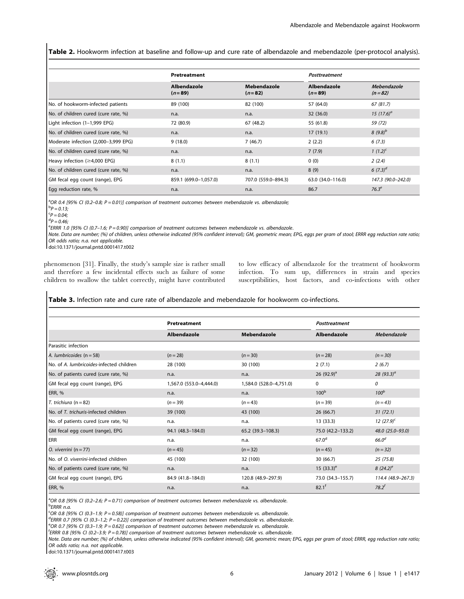Table 2. Hookworm infection at baseline and follow-up and cure rate of albendazole and mebendazole (per-protocol analysis).

|                                      | Pretreatment            |                         | Posttreatment           |                           |
|--------------------------------------|-------------------------|-------------------------|-------------------------|---------------------------|
|                                      | Albendazole<br>$(n=89)$ | Mebendazole<br>$(n=82)$ | Albendazole<br>$(n=89)$ | Mebendazole<br>$(n = 82)$ |
| No. of hookworm-infected patients    | 89 (100)                | 82 (100)                | 57 (64.0)               | 67 (81.7)                 |
| No. of children cured (cure rate, %) | n.a.                    | n.a.                    | 32(36.0)                | 15 $(17.6)^{a}$           |
| Light infection (1-1,999 EPG)        | 72 (80.9)               | 67 (48.2)               | 55 (61.8)               | 59 (72)                   |
| No. of children cured (cure rate, %) | n.a.                    | n.a.                    | 17(19.1)                | $8(9.8)^b$                |
| Moderate infection (2,000-3,999 EPG) | 9(18.0)                 | 7(46.7)                 | 2(2.2)                  | 6(7.3)                    |
| No. of children cured (cure rate, %) | n.a.                    | n.a.                    | 7(7.9)                  | 1 $(1.2)^c$               |
| Heavy infection $(\geq 4,000$ EPG)   | 8(1.1)                  | 8(1.1)                  | 0(0)                    | 2(2.4)                    |
| No. of children cured (cure rate, %) | n.a.                    | n.a.                    | 8(9)                    | 6 $(7.3)^d$               |
| GM fecal egg count (range), EPG      | 859.1 (699.0-1,057.0)   | 707.0 (559.0-894.3)     | 63.0 (34.0-116.0)       | 147.3 (90.0-242.0)        |
| Egg reduction rate, %                | n.a.                    | n.a.                    | 86.7                    | $76.3^e$                  |

<sup>a</sup>OR 0.4 [95% CI (0.2–0.8; P = 0.01)] comparison of treatment outcomes between mebendazole vs. albendazole;

 ${}^{\rm b}P = 0.13;$ 

 ${}^cP = 0.04;$ 

 ${}^{d}P = 0.46;$ 

e ERRR 1.0 [95% CI (0.7–1.6; P = 0.90)] comparison of treatment outcomes between mebendazole vs. albendazole.

Note. Data are number; (%) of children, unless otherwise indicated (95% confident interval); GM, geometric mean; EPG, eggs per gram of stool; ERRR egg reduction rate ratio; OR odds ratio; n.a. not applicable.

doi:10.1371/journal.pntd.0001417.t002

phenomenon [31]. Finally, the study's sample size is rather small and therefore a few incidental effects such as failure of some children to swallow the tablet correctly, might have contributed to low efficacy of albendazole for the treatment of hookworm infection. To sum up, differences in strain and species susceptibilities, host factors, and co-infections with other

# Table 3. Infection rate and cure rate of albendazole and mebendazole for hookworm co-infections.

|                                          | Pretreatment            |                         |                   | <b>Posttreatment</b> |  |
|------------------------------------------|-------------------------|-------------------------|-------------------|----------------------|--|
|                                          | <b>Albendazole</b>      | Mebendazole             | Albendazole       | Mebendazole          |  |
| Parasitic infection                      |                         |                         |                   |                      |  |
| A. lumbricoides $(n = 58)$               | $(n=28)$                | $(n=30)$                | $(n=28)$          | $(n = 30)$           |  |
| No. of A. lumbricoides-infected children | 28 (100)                | 30 (100)                | 2(7.1)            | 2(6.7)               |  |
| No. of patients cured (cure rate, %)     | n.a.                    | n.a.                    | 26 $(92.9)^a$     | 28 $(93.3)^{a}$      |  |
| GM fecal egg count (range), EPG          | 1,567.0 (553.0-4,444.0) | 1,584.0 (528.0-4,751.0) | 0                 | 0                    |  |
| <b>ERR, %</b>                            | n.a.                    | n.a.                    | 100 <sup>b</sup>  | 100 <sup>b</sup>     |  |
| T. trichiura ( $n = 82$ )                | $(n=39)$                | $(n=43)$                | $(n=39)$          | $(n = 43)$           |  |
| No. of T. trichuris-infected children    | 39 (100)                | 43 (100)                | 26(66.7)          | 31(72.1)             |  |
| No. of patients cured (cure rate, %)     | n.a.                    | n.a.                    | 13(33.3)          | $12(27.9)^{c}$       |  |
| GM fecal egg count (range), EPG          | 94.1 (48.3-184.0)       | 65.2 (39.3-108.3)       | 75.0 (42.2–133.2) | 48.0 (25.0-93.0)     |  |
| ERR                                      | n.a.                    | n.a.                    | 67.0 <sup>d</sup> | 66.0 <sup>d</sup>    |  |
| O. viverrini $(n = 77)$                  | $(n=45)$                | $(n=32)$                | $(n=45)$          | $(n = 32)$           |  |
| No. of O. viverrini-infected children    | 45 (100)                | 32 (100)                | 30 (66.7)         | 25(75.8)             |  |
| No. of patients cured (cure rate, %)     | n.a.                    | n.a.                    | 15 $(33.3)^e$     | 8 $(24.2)^e$         |  |
| GM fecal egg count (range), EPG          | 84.9 (41.8-184.0)       | 120.8 (48.9-297.9)      | 73.0 (34.3-155.7) | 114.4 (48.9-267.3)   |  |
| ERR, %                                   | n.a.                    | n.a.                    | $82.1^{f}$        | $78.2^{f}$           |  |

<sup>a</sup>OR 0.8 [95% CI (0.2–2.6; P = 0.71) comparison of treatment outcomes between mebendazole vs. albendazole.<br><sup>b</sup>EDDD n.a. ERRR n.a.

<sup>c</sup>OR 0.8 [95% CI (0.3–1.9; P = 0.58)] comparison of treatment outcomes between mebendazole vs. albendazole.<br><sup>d</sup>EPPP 0.7 [95% CJ (0.2, 1.2; P = 0.22)] comparison of treatment outcomes between mebendazole vs. albendaza

<sup>d</sup>ERRR 0.7 [95% CJ (0.3–1.2; P = 0.22)] comparison of treatment outcomes between mebendazole vs. albendazole.

 $°$ OR 0.7 [95% CI (0.3-1.9; P = 0.62)] comparison of treatment outcomes between mebendazole vs. albendazole.

ERRR 0.8 [95% CI (0.2–3.9; P = 0.78)] comparison of treatment outcomes between mebendazole vs. albendazole.

Note. Data are number; (%) of children, unless otherwise indicated (95% confident interval); GM, geometric mean; EPG, eggs per gram of stool; ERRR, egg reduction rate ratio; OR odds ratio; n.a. not applicable.

doi:10.1371/journal.pntd.0001417.t003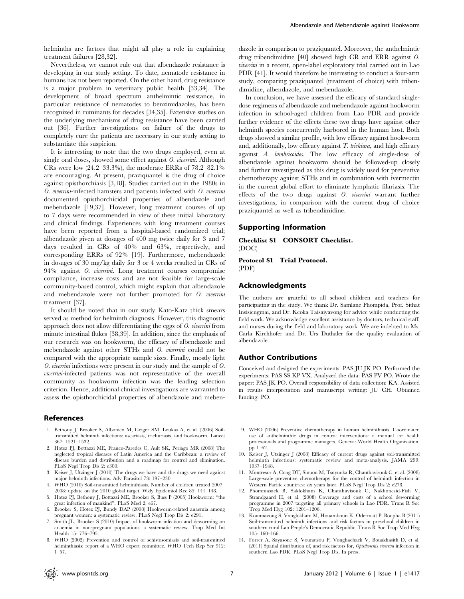helminths are factors that might all play a role in explaining treatment failures [28,32].

Nevertheless, we cannot rule out that albendazole resistance is developing in our study setting. To date, nematode resistance in humans has not been reported. On the other hand, drug resistance is a major problem in veterinary public health [33,34]. The development of broad spectrum anthelmintic resistance, in particular resistance of nematodes to benzimidazoles, has been recognized in ruminants for decades [34,35]. Extensive studies on the underlying mechanisms of drug resistance have been carried out [36]. Further investigations on failure of the drugs to completely cure the patients are necessary in our study setting to substantiate this suspicion.

It is interesting to note that the two drugs employed, even at single oral doses, showed some effect against O. viverrini. Although CRs were low (24.2–33.3%), the moderate ERRs of 78.2–82.1% are encouraging. At present, praziquantel is the drug of choice against opisthorchiasis [3,18]. Studies carried out in the 1980s in O. viverrini-infected hamsters and patients infected with O. viverrini documented opisthorchicidal properties of albendazole and mebendazole [19,37]. However, long treatment courses of up to 7 days were recommended in view of these initial laboratory and clinical findings. Experiences with long treatment courses have been reported from a hospital-based randomized trial; albendazole given at dosages of 400 mg twice daily for 3 and 7 days resulted in CRs of 40% and 63%, respectively, and corresponding ERRs of 92% [19]. Furthermore, mebendazole in dosages of 30 mg/kg daily for 3 or 4 weeks resulted in CRs of 94% against O. viverrini. Long treatment courses compromise compliance, increase costs and are not feasible for large-scale community-based control, which might explain that albendazole and mebendazole were not further promoted for O. viverrini treatment [37].

It should be noted that in our study Kato-Katz thick smears served as method for helminth diagnosis. However, this diagnostic approach does not allow differentiating the eggs of O. viverrini from minute intestinal flukes [38,39]. In addition, since the emphasis of our research was on hookworm, the efficacy of albendazole and mebendazole against other STHs and O. viverrini could not be compared with the appropriate sample sizes. Finally, mostly light O. viverrini infections were present in our study and the sample of O. viverrini-infected patients was not representative of the overall community as hookworm infection was the leading selection criterion. Hence, additional clinical investigations are warranted to assess the opisthorchicidal properties of albendazole and meben-

#### References

- 1. Bethony J, Brooker S, Albonico M, Geiger SM, Loukas A, et al. (2006) Soiltransmitted helminth infections: ascariasis, trichuriasis, and hookworm. Lancet 367: 1521–1532.
- 2. Hotez PJ, Bottazzi ME, Franco-Paredes C, Ault SK, Periago MR (2008) The neglected tropical diseases of Latin America and the Caribbean: a review of disease burden and distribution and a roadmap for control and elimination. PLoS Negl Trop Dis 2: e300.
- 3. Keiser J, Utzinger J (2010) The drugs we have and the drugs we need against major helminth infections. Adv Parasitol 73: 197–230.
- 4. WHO (2010) Soil-transmitted helminthiasis. Number of children treated 2007– 2008: update on the 2010 global target. Wkly Epidemiol Rec 85: 141–148.
- 5. Hotez PJ, Bethony J, Bottazzi ME, Brooker S, Buss P (2005) Hookworm: ''the great infection of mankind''. PLoS Med 2: e67.
- 6. Brooker S, Hotez PJ, Bundy DAP (2008) Hookworm-related anaemia among pregnant women: a systematic review. PLoS Negl Trop Dis 2: e291.
- 7. Smith JL, Brooker S (2010) Impact of hookworm infection and deworming on anaemia in non-pregnant populations: a systematic review. Trop Med Int Health 15: 776–795.
- 8. WHO (2002) Prevention and control of schistosomiasis and soil-transmitted helminthiasis: report of a WHO expert committee. WHO Tech Rep Ser 912: 1–57.

dazole in comparison to praziquantel. Moreover, the anthelmintic drug tribendimidine [40] showed high CR and ERR against O. viverrini in a recent, open-label exploratory trial carried out in Lao PDR [41]. It would therefore be interesting to conduct a four-arm study, comparing praziquantel (treatment of choice) with tribendimidine, albendazole, and mebendazole.

In conclusion, we have assessed the efficacy of standard singledose regimens of albendazole and mebendazole against hookworm infection in school-aged children from Lao PDR and provide further evidence of the effects these two drugs have against other helminth species concurrently harbored in the human host. Both drugs showed a similar profile, with low efficacy against hookworm and, additionally, low efficacy against  $T$ , trichiura, and high efficacy against A. lumbricoides. The low efficacy of single-dose of albendazole against hookworm should be followed-up closely and further investigated as this drug is widely used for preventive chemotherapy against STHs and in combination with ivermectin in the current global effort to eliminate lymphatic filariasis. The effects of the two drugs against O. viverrini warrant further investigations, in comparison with the current drug of choice praziquantel as well as tribendimidine.

## Supporting Information

Checklist S1 CONSORT Checklist. (DOC)

Protocol S1 Trial Protocol. (PDF)

## Acknowledgments

The authors are grateful to all school children and teachers for participating in the study. We thank Dr. Samlane Phompida, Prof. Sithat Insisiengmai, and Dr. Keoka Taisaiyavong for advice while conducting the field work. We acknowledge excellent assistance by doctors, technical staff, and nurses during the field and laboratory work. We are indebted to Ms. Carla Kirchhofer and Dr. Urs Duthaler for the quality evaluation of albendazole.

#### Author Contributions

Conceived and designed the experiments: PAS JU JK PO. Performed the experiments: PAS SS KP VX. Analyzed the data: PAS PV PO. Wrote the paper: PAS JK PO. Overall responsibility of data collection: KA. Assisted in results interpretation and manuscript writing: JU CH. Obtained funding: PO.

- 9. WHO (2006) Preventive chemotherapy in human helminthiasis. Coordinated use of anthelminthic drugs in control interventions: a manual for health professionals and programme managers. Geneva: World Health Organization. pp 1–62.
- 10. Keiser J, Utzinger J (2008) Efficacy of current drugs against soil-transmitted helminth infections: systematic review and meta-analysis. JAMA 299: 1937–1948.
- 11. Montresor A, Cong DT, Sinuon M, Tsuyuoka R, Chanthavisouk C, et al. (2008) Large-scale preventive chemotherapy for the control of helminth infection in Western Pacific countries: six years later. PLoS Negl Trop Dis 2: e278.
- 12. Phommasack B, Saklokham K, Chanthavisouk C, Nakhonesid-Fish V, Strandgaard H, et al. (2008) Coverage and costs of a school deworming programme in 2007 targeting all primary schools in Lao PDR. Trans R Soc Trop Med Hyg 102: 1201–1206.
- 13. Kounnavong S, Vonglokham M, Houamboun K, Odermatt P, Boupha B (2011) Soil-transmitted helminth infections and risk factors in preschool children in southern rural Lao People's Democratic Republic. Trans R Soc Trop Med Hyg 105: 160–166.
- 14. Forrer A, Sayasone S, Vounatsou P, Vonghachack V, Bouakhasith D, et al. (2011) Spatial distribution of, and risk factors for, Opisthorchis viverrini infection in southern Lao PDR. PLoS Negl Trop Dis, In press.